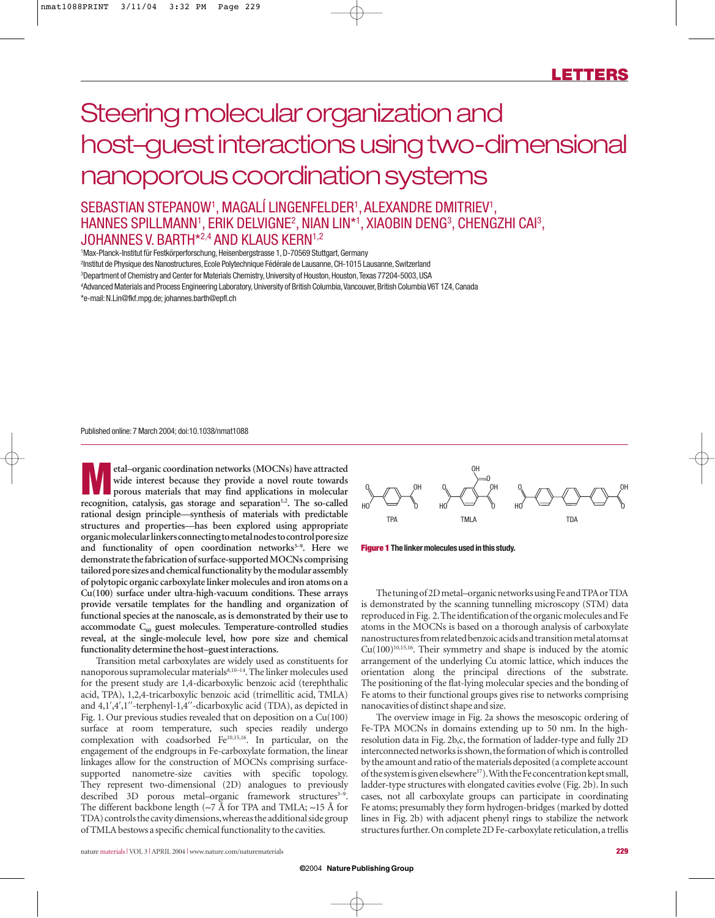# Steering molecular organization and host–guest interactions using two-dimensional nanoporous coordination systems

# SEBASTIAN STEPANOW1 , MAGALÍ LINGENFELDER1 , ALEXANDRE DMITRIEV1 , HANNES SPILLMANN<sup>1</sup>, ERIK DELVIGNE<sup>2</sup>, NIAN LIN\*1, XIAOBIN DENG<sup>3</sup>, CHENGZHI CAI<sup>3</sup>, JOHANNES V. BARTH\*2,4 AND KLAUS KERN1,2

<sup>1</sup>Max-Planck-Institut für Festkörperforschung, Heisenbergstrasse 1, D-70569 Stuttgart, Germany 2 Institut de Physique des Nanostructures,Ecole Polytechnique Fédérale de Lausanne,CH-1015 Lausanne,Switzerland <sup>3</sup>Department of Chemistry and Center for Materials Chemistry, University of Houston, Houston, Texas 77204-5003, USA 4 Advanced Materials and Process Engineering Laboratory,University of British Columbia,Vancouver,British Columbia V6T 1Z4,Canada \*e-mail:N.Lin@fkf.mpg.de; johannes.barth@epfl.ch

Published online:7 March 2004; doi:10.1038/nmat1088

**M** etal–organic coordination networks (MOCNs) have attracted<br>
porous materials that may find applications in molecular<br> **processition** establishes are started and applications in molecular<br> **processition wide interest because they provide a novel route towards** recognition, catalysis, gas storage and separation<sup>1,2</sup>. The so-called **rational design principle—synthesis of materials with predictable structures and properties—has been explored using appropriate organic molecular linkers connecting to metal nodes to control pore size** and functionality of open coordination networks<sup>3-9</sup>. Here we **demonstrate the fabrication of surface-supported MOCNs comprising tailored pore sizes and chemical functionality by the modular assembly of polytopic organic carboxylate linker molecules and iron atoms on a Cu(100) surface under ultra-high-vacuum conditions. These arrays provide versatile templates for the handling and organization of functional species at the nanoscale, as is demonstrated by their use to accommodate C60 guest molecules. Temperature-controlled studies reveal, at the single-molecule level, how pore size and chemical functionality determine the host–guest interactions.**

Transition metal carboxylates are widely used as constituents for nanoporous supramolecular materials<sup>8,10-14</sup>. The linker molecules used for the present study are 1,4-dicarboxylic benzoic acid (terephthalic acid, TPA), 1,2,4-tricarboxylic benzoic acid (trimellitic acid, TMLA) and 4,1′,4′,1′′-terphenyl-1,4′′-dicarboxylic acid (TDA), as depicted in Fig. 1. Our previous studies revealed that on deposition on a Cu(100) surface at room temperature, such species readily undergo complexation with coadsorbed Fe10,15,16. In particular, on the engagement of the endgroups in Fe-carboxylate formation, the linear linkages allow for the construction of MOCNs comprising surfacesupported nanometre-size cavities with specific topology. They represent two-dimensional (2D) analogues to previously described 3D porous metal–organic framework structures<sup>3-9</sup>. The different backbone length (∼7 Å for TPA and TMLA; ∼15 Å for TDA) controls the cavity dimensions,whereas the additional side group of TMLA bestows a specific chemical functionality to the cavities.



**Figure 1 The linker molecules used in this study.**

The tuning of 2D metal–organic networks using Fe and TPA or TDA is demonstrated by the scanning tunnelling microscopy (STM) data reproduced in Fig. 2.The identification of the organic molecules and Fe atoms in the MOCNs is based on a thorough analysis of carboxylate nanostructures from related benzoic acids and transition metal atoms at  $Cu(100)^{10,15,16}$ . Their symmetry and shape is induced by the atomic arrangement of the underlying Cu atomic lattice, which induces the orientation along the principal directions of the substrate. The positioning of the flat-lying molecular species and the bonding of Fe atoms to their functional groups gives rise to networks comprising nanocavities of distinct shape and size.

The overview image in Fig. 2a shows the mesoscopic ordering of Fe-TPA MOCNs in domains extending up to 50 nm. In the highresolution data in Fig. 2b,c, the formation of ladder-type and fully 2D interconnected networks is shown, the formation of which is controlled by the amount and ratio of the materials deposited (a complete account of the system is given elsewhere<sup>17</sup>). With the Fe concentration kept small, ladder-type structures with elongated cavities evolve (Fig. 2b). In such cases, not all carboxylate groups can participate in coordinating Fe atoms; presumably they form hydrogen-bridges (marked by dotted lines in Fig. 2b) with adjacent phenyl rings to stabilize the network structures further. On complete 2D Fe-carboxylate reticulation, a trellis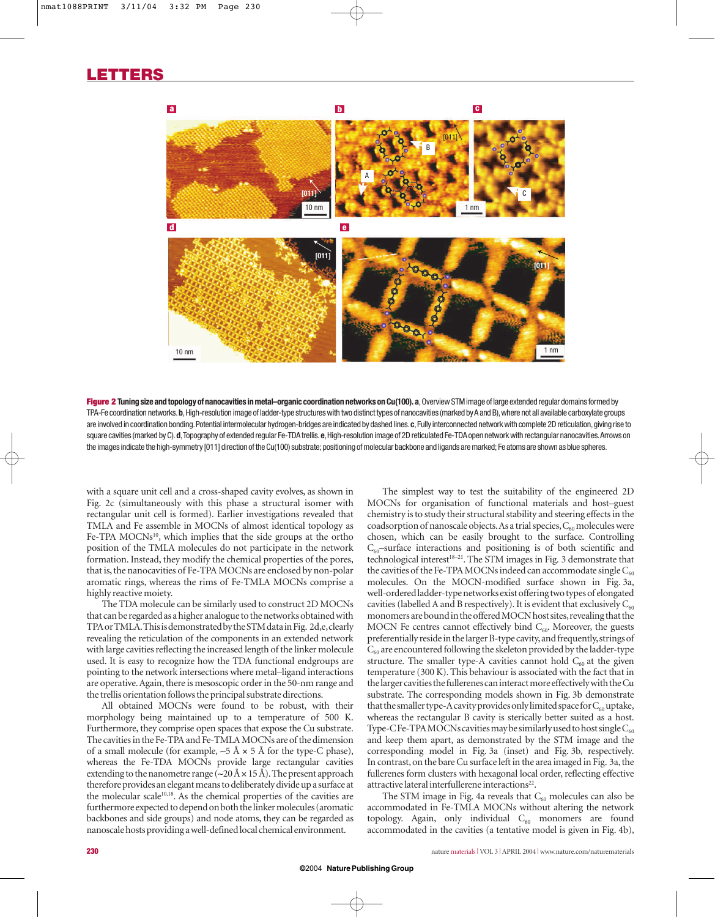

Figure 2 Tuning size and topology of nanocavities in metal-organic coordination networks on Cu(100). a, Overview STM image of large extended regular domains formed by TPA-Fe coordination networks.**b**,High-resolution image of ladder-type structures with two distinct types of nanocavities (marked by A and B),where not all available carboxylate groups are involved in coordination bonding.Potential intermolecular hydrogen-bridges are indicated by dashed lines.**c**,Fully interconnected network with complete 2D reticulation,giving rise to square cavities (marked by C). d, Topography of extended regular Fe-TDA trellis. e, High-resolution image of 2D reticulated Fe-TDA open network with rectangular nanocavities. Arrows on the images indicate the high-symmetry [011] direction of the Cu(100) substrate; positioning of molecular backbone and ligands are marked; Fe atoms are shown as blue spheres.

with a square unit cell and a cross-shaped cavity evolves, as shown in Fig. 2c (simultaneously with this phase a structural isomer with rectangular unit cell is formed). Earlier investigations revealed that TMLA and Fe assemble in MOCNs of almost identical topology as Fe-TPA MOCNs<sup>10</sup>, which implies that the side groups at the ortho position of the TMLA molecules do not participate in the network formation. Instead, they modify the chemical properties of the pores, that is, the nanocavities of Fe-TPA MOCNs are enclosed by non-polar aromatic rings, whereas the rims of Fe-TMLA MOCNs comprise a highly reactive moiety.

The TDA molecule can be similarly used to construct 2D MOCNs that can be regarded as a higher analogue to the networks obtained with TPA or TMLA.This is demonstrated by the STM data in Fig. 2d,e,clearly revealing the reticulation of the components in an extended network with large cavities reflecting the increased length of the linker molecule used. It is easy to recognize how the TDA functional endgroups are pointing to the network intersections where metal–ligand interactions are operative. Again, there is mesoscopic order in the 50-nm range and the trellis orientation follows the principal substrate directions.

All obtained MOCNs were found to be robust, with their morphology being maintained up to a temperature of 500 K. Furthermore, they comprise open spaces that expose the Cu substrate. The cavities in the Fe-TPA and Fe-TMLA MOCNs are of the dimension of a small molecule (for example,  $~5$  Å  $\times$  5 Å for the type-C phase), whereas the Fe-TDA MOCNs provide large rectangular cavities extending to the nanometre range (∼20 Å ×15 Å).The present approach therefore provides an elegant means to deliberately divide up a surface at the molecular scale<sup>10,18</sup>. As the chemical properties of the cavities are furthermore expected to depend on both the linker molecules (aromatic backbones and side groups) and node atoms, they can be regarded as nanoscale hosts providing a well-defined local chemical environment.

The simplest way to test the suitability of the engineered 2D MOCNs for organisation of functional materials and host–guest chemistry is to study their structural stability and steering effects in the coadsorption of nanoscale objects. As a trial species,  $C_{60}$  molecules were chosen, which can be easily brought to the surface. Controlling  $C_{60}$ -surface interactions and positioning is of both scientific and technological interest<sup>18-21</sup>. The STM images in Fig. 3 demonstrate that the cavities of the Fe-TPA MOCNs indeed can accommodate single  $C_{60}$ molecules. On the MOCN-modified surface shown in Fig. 3a, well-ordered ladder-type networks exist offering two types of elongated cavities (labelled A and B respectively). It is evident that exclusively  $C_{60}$ monomers are bound in the offered MOCN host sites, revealing that the MOCN Fe centres cannot effectively bind  $C_{60}$ . Moreover, the guests preferentially reside in the larger B-type cavity,and frequently,strings of  $C_{60}$  are encountered following the skeleton provided by the ladder-type structure. The smaller type-A cavities cannot hold  $C_{60}$  at the given temperature (300 K). This behaviour is associated with the fact that in the larger cavities the fullerenes can interact more effectively with the Cu substrate. The corresponding models shown in Fig. 3b demonstrate that the smaller type-A cavity provides only limited space for  $C_{60}$  uptake, whereas the rectangular B cavity is sterically better suited as a host. Type-C Fe-TPA MOCNs cavities may be similarly used to host single  $C_{60}$ and keep them apart, as demonstrated by the STM image and the corresponding model in Fig. 3a (inset) and Fig. 3b, respectively. In contrast, on the bare Cu surface left in the area imaged in Fig. 3a, the fullerenes form clusters with hexagonal local order, reflecting effective attractive lateral interfullerene interactions<sup>22</sup>.

The STM image in Fig. 4a reveals that  $C_{60}$  molecules can also be accommodated in Fe-TMLA MOCNs without altering the network topology. Again, only individual  $C_{60}$  monomers are found accommodated in the cavities (a tentative model is given in Fig. 4b),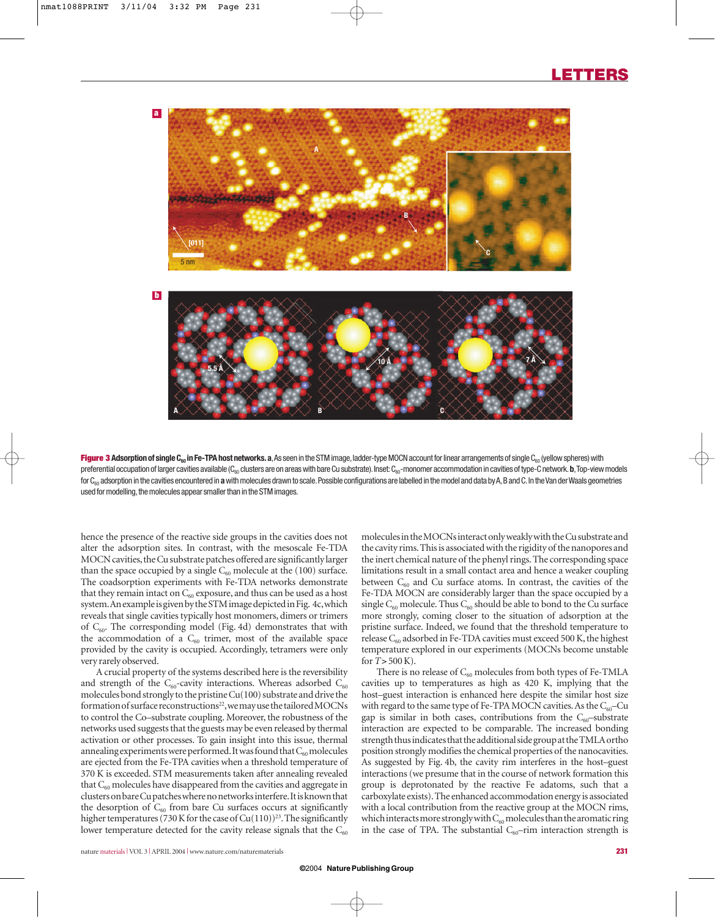

**Figure 3 Adsorption of single C<sub>60</sub>** in Fe-TPA host networks. a,As seen in the STM image, ladder-type MOCN account for linear arrangements of single C<sub>60</sub> (yellow spheres) with preferential occupation of larger cavities available (C<sub>60</sub> clusters are on areas with bare Cu substrate). Inset: C<sub>60</sub>-monomer accommodation in cavities of type-C network. **b**, Top-view models for C<sub>60</sub> adsorption in the cavities encountered in a with molecules drawn to scale. Possible configurations are labelled in the model and data by A, B and C. In the Van der Waals geometries used for modelling, the molecules appear smaller than in the STM images.

hence the presence of the reactive side groups in the cavities does not alter the adsorption sites. In contrast, with the mesoscale Fe-TDA MOCN cavities, the Cu substrate patches offered are significantly larger than the space occupied by a single  $C_{60}$  molecule at the (100) surface. The coadsorption experiments with Fe-TDA networks demonstrate that they remain intact on  $C_{60}$  exposure, and thus can be used as a host system.An example is given by the STM image depicted in Fig. 4c,which reveals that single cavities typically host monomers, dimers or trimers of  $C_{60}$ . The corresponding model (Fig. 4d) demonstrates that with the accommodation of a  $C_{60}$  trimer, most of the available space provided by the cavity is occupied. Accordingly, tetramers were only very rarely observed.

A crucial property of the systems described here is the reversibility and strength of the  $C_{60}$ -cavity interactions. Whereas adsorbed  $C_{60}$ molecules bond strongly to the pristine Cu(100) substrate and drive the formation of surface reconstructions<sup>22</sup>, we may use the tailored MOCNs to control the Co–substrate coupling. Moreover, the robustness of the networks used suggests that the guests may be even released by thermal activation or other processes. To gain insight into this issue, thermal annealing experiments were performed. It was found that  $C_{60}$  molecules are ejected from the Fe-TPA cavities when a threshold temperature of 370 K is exceeded. STM measurements taken after annealing revealed that  $C_{60}$  molecules have disappeared from the cavities and aggregate in clusters on bare Cu patches where no networks interfere.It is known that the desorption of  $C_{60}$  from bare Cu surfaces occurs at significantly higher temperatures (730 K for the case of  $Cu(110))^{23}$ . The significantly lower temperature detected for the cavity release signals that the  $C_{60}$  molecules in the MOCNs interact only weakly with the Cu substrate and the cavity rims.This is associated with the rigidity of the nanopores and the inert chemical nature of the phenyl rings. The corresponding space limitations result in a small contact area and hence a weaker coupling between  $C_{60}$  and Cu surface atoms. In contrast, the cavities of the Fe-TDA MOCN are considerably larger than the space occupied by a single  $C_{60}$  molecule. Thus  $C_{60}$  should be able to bond to the Cu surface more strongly, coming closer to the situation of adsorption at the pristine surface. Indeed, we found that the threshold temperature to release  $C_{60}$  adsorbed in Fe-TDA cavities must exceed 500 K, the highest temperature explored in our experiments (MOCNs become unstable for *T*>500 K).

There is no release of  $C_{60}$  molecules from both types of Fe-TMLA cavities up to temperatures as high as 420 K, implying that the host–guest interaction is enhanced here despite the similar host size with regard to the same type of Fe-TPA MOCN cavities. As the  $C_{60}$ -Cu gap is similar in both cases, contributions from the  $C_{60}$ -substrate interaction are expected to be comparable. The increased bonding strength thus indicates that the additional side group at the TMLA ortho position strongly modifies the chemical properties of the nanocavities. As suggested by Fig. 4b, the cavity rim interferes in the host–guest interactions (we presume that in the course of network formation this group is deprotonated by the reactive Fe adatoms, such that a carboxylate exists).The enhanced accommodation energy is associated with a local contribution from the reactive group at the MOCN rims, which interacts more strongly with  $C_{60}$  molecules than the aromatic ring in the case of TPA. The substantial  $C_{60}$ -rim interaction strength is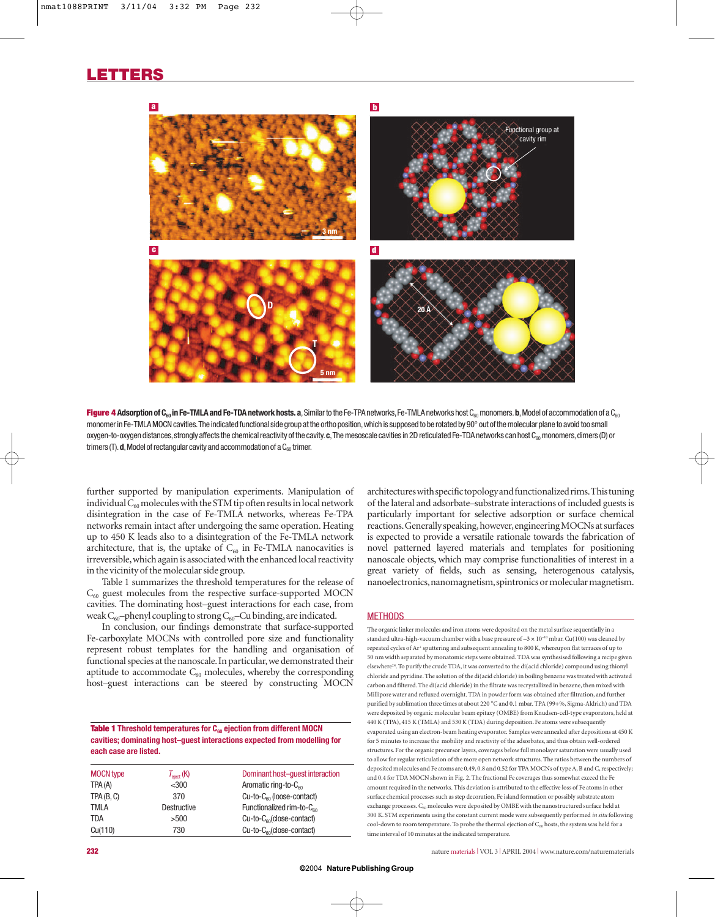## **LETTERS**



Figure 4 Adsorption of C<sub>60</sub> in Fe-TMLA and Fe-TDA network hosts. a, Similar to the Fe-TPA networks, Fe-TMLA networks host C<sub>60</sub> monomers. b, Model of accommodation of a C<sub>60</sub> monomer in Fe-TMLA MOCN cavities. The indicated functional side group at the ortho position, which is supposed to be rotated by 90° out of the molecular plane to avoid too small oxygen-to-oxygen distances, strongly affects the chemical reactivity of the cavity. c. The mesoscale cavities in 2D reticulated Fe-TDA networks can host C<sub>80</sub> monomers, dimers (D) or trimers (T).  $d$ , Model of rectangular cavity and accommodation of a  $C_{60}$  trimer.

further supported by manipulation experiments. Manipulation of individual  $C_{60}$  molecules with the STM tip often results in local network disintegration in the case of Fe-TMLA networks, whereas Fe-TPA networks remain intact after undergoing the same operation. Heating up to 450 K leads also to a disintegration of the Fe-TMLA network architecture, that is, the uptake of  $C_{60}$  in Fe-TMLA nanocavities is irreversible,which again is associated with the enhanced local reactivity in the vicinity of the molecular side group.

Table 1 summarizes the threshold temperatures for the release of  $C_{60}$  guest molecules from the respective surface-supported MOCN cavities. The dominating host–guest interactions for each case, from weak C<sub>60</sub>-phenyl coupling to strong C<sub>60</sub>-Cu binding, are indicated.

In conclusion, our findings demonstrate that surface-supported Fe-carboxylate MOCNs with controlled pore size and functionality represent robust templates for the handling and organisation of functional species at the nanoscale. In particular, we demonstrated their aptitude to accommodate  $C_{60}$  molecules, whereby the corresponding host–guest interactions can be steered by constructing MOCN

**Table 1** Threshold temperatures for C<sub>60</sub> ejection from different MOCN **cavities; dominating host–guest interactions expected from modelling for each case are listed.**

| <b>MOCN type</b> | $T_{\text{eject}}$ (K) | Dominant host-quest interaction       |
|------------------|------------------------|---------------------------------------|
| TPA (A)          | $<$ 300                | Aromatic ring-to-C <sub>60</sub>      |
| TPA(B, C)        | 370                    | $Cu-to-C60$ (loose-contact)           |
| <b>TMLA</b>      | Destructive            | Functionalized rim-to-C <sub>60</sub> |
| <b>TDA</b>       | >500                   | $Cu-to-C60(close-control)$            |
| Cu(110)          | 730                    | $Cu-to-C60(close-control)$            |

architectures with specific topology and functionalized rims.This tuning of the lateral and adsorbate–substrate interactions of included guests is particularly important for selective adsorption or surface chemical reactions.Generally speaking,however,engineering MOCNs at surfaces is expected to provide a versatile rationale towards the fabrication of novel patterned layered materials and templates for positioning nanoscale objects, which may comprise functionalities of interest in a great variety of fields, such as sensing, heterogenous catalysis, nanoelectronics, nanomagnetism, spintronics or molecular magnetism.

## **METHODS**

The organic linker molecules and iron atoms were deposited on the metal surface sequentially in a standard ultra-high-vacuum chamber with a base pressure of ∼3 × 10–10 mbar. Cu(100) was cleaned by repeated cycles of Ar+ sputtering and subsequent annealing to 800 K, whereupon flat terraces of up to 50 nm width separated by monatomic steps were obtained. TDA was synthesised following a recipe given elsewhere<sup>24</sup>. To purify the crude TDA, it was converted to the di(acid chloride) compound using thionyl chloride and pyridine. The solution of the di(acid chloride) in boiling benzene was treated with activated carbon and filtered. The di(acid chloride) in the filtrate was recrystallized in benzene, then mixed with Millipore water and refluxed overnight. TDA in powder form was obtained after filtration, and further purified by sublimation three times at about 220 °C and 0.1 mbar. TPA (99+%, Sigma-Aldrich) and TDA were deposited by organic molecular beam epitaxy (OMBE) from Knudsen-cell-type evaporators, held at 440 K (TPA), 415 K (TMLA) and 530 K (TDA) during deposition. Fe atoms were subsequently evaporated using an electron-beam heating evaporator. Samples were annealed after depositions at 450 K for 5 minutes to increase the mobility and reactivity of the adsorbates, and thus obtain well-ordered structures. For the organic precursor layers, coverages below full monolayer saturation were usually used to allow for regular reticulation of the more open network structures. The ratios between the numbers of deposited molecules and Fe atoms are 0.49, 0.8 and 0.52 for TPA MOCNs of type A, B and C, respectively; and 0.4 for TDA MOCN shown in Fig. 2. The fractional Fe coverages thus somewhat exceed the Fe amount required in the networks. This deviation is attributed to the effective loss of Fe atoms in other surface chemical processes such as step decoration, Fe island formation or possibly substrate atom exchange processes.  $C_{60}$  molecules were deposited by OMBE with the nanostructured surface held at 300 K. STM experiments using the constant current mode were subsequently performed *in situ* following cool-down to room temperature. To probe the thermal ejection of  $C_{60}$  hosts, the system was held for a time interval of 10 minutes at the indicated temperature.